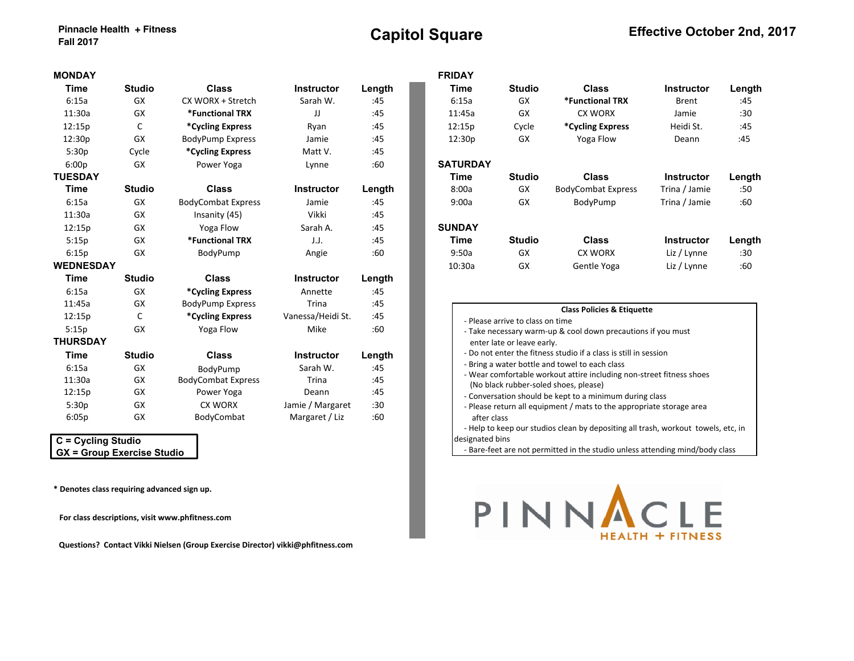| <b>MONDAY</b>    |               |                           |                   |        |  | <b>FRIDAY</b>                                                                                                          |                                  |                                                                                   |                   |        |  |
|------------------|---------------|---------------------------|-------------------|--------|--|------------------------------------------------------------------------------------------------------------------------|----------------------------------|-----------------------------------------------------------------------------------|-------------------|--------|--|
| <b>Time</b>      | <b>Studio</b> | <b>Class</b>              | <b>Instructor</b> | Length |  | Time                                                                                                                   | <b>Studio</b>                    | <b>Class</b>                                                                      | <b>Instructor</b> | Length |  |
| 6:15a            | <b>GX</b>     | CX WORX + Stretch         | Sarah W.          | :45    |  | 6:15a                                                                                                                  | <b>GX</b>                        | *Functional TRX                                                                   | <b>Brent</b>      | :45    |  |
| 11:30a           | GX            | *Functional TRX           | JJ                | :45    |  | 11:45a                                                                                                                 | <b>GX</b>                        | <b>CX WORX</b>                                                                    | Jamie             | :30    |  |
| 12:15p           | C             | *Cycling Express          | Ryan              | :45    |  | 12:15p                                                                                                                 | Cycle                            | *Cycling Express                                                                  | Heidi St.         | :45    |  |
| 12:30p           | GX            | <b>BodyPump Express</b>   | Jamie             | :45    |  | 12:30p                                                                                                                 | GX                               | Yoga Flow                                                                         | Deann             | :45    |  |
| 5:30p            | Cycle         | *Cycling Express          | Matt V.           | :45    |  |                                                                                                                        |                                  |                                                                                   |                   |        |  |
| 6:00p            | GX            | Power Yoga                | Lynne             | :60    |  | <b>SATURDAY</b>                                                                                                        |                                  |                                                                                   |                   |        |  |
| <b>TUESDAY</b>   |               |                           |                   |        |  | Time                                                                                                                   | <b>Studio</b>                    | <b>Class</b>                                                                      | <b>Instructor</b> | Length |  |
| Time             | <b>Studio</b> | <b>Class</b>              | <b>Instructor</b> | Length |  | 8:00a                                                                                                                  | GX                               | <b>BodyCombat Express</b>                                                         | Trina / Jamie     | :50    |  |
| 6:15a            | GX            | <b>BodyCombat Express</b> | Jamie             | :45    |  | 9:00a                                                                                                                  | GX                               | BodyPump                                                                          | Trina / Jamie     | :60    |  |
| 11:30a           | GX            | Insanity (45)             | Vikki             | :45    |  |                                                                                                                        |                                  |                                                                                   |                   |        |  |
| 12:15p           | <b>GX</b>     | Yoga Flow                 | Sarah A.          | :45    |  | <b>SUNDAY</b>                                                                                                          |                                  |                                                                                   |                   |        |  |
| 5:15p            | <b>GX</b>     | *Functional TRX           | J.J.              | :45    |  | Time                                                                                                                   | <b>Studio</b>                    | <b>Class</b>                                                                      | <b>Instructor</b> | Length |  |
| 6:15p            | GX            | BodyPump                  | Angie             | :60    |  | 9:50a                                                                                                                  | GX                               | <b>CX WORX</b>                                                                    | Liz / Lynne       | :30    |  |
| <b>WEDNESDAY</b> |               |                           |                   |        |  | 10:30a                                                                                                                 | GX                               | Gentle Yoga                                                                       | Liz / Lynne       | :60    |  |
| Time             | <b>Studio</b> | <b>Class</b>              | <b>Instructor</b> | Length |  |                                                                                                                        |                                  |                                                                                   |                   |        |  |
| 6:15a            | GX            | *Cycling Express          | Annette           | :45    |  |                                                                                                                        |                                  |                                                                                   |                   |        |  |
| 11:45a           | GX            | <b>BodyPump Express</b>   | Trina             | :45    |  |                                                                                                                        |                                  |                                                                                   |                   |        |  |
| 12:15p           | C             | *Cycling Express          | Vanessa/Heidi St. | :45    |  |                                                                                                                        | - Please arrive to class on time | <b>Class Policies &amp; Etiquette</b>                                             |                   |        |  |
| 5:15p            | <b>GX</b>     | Yoga Flow                 | Mike              | :60    |  |                                                                                                                        |                                  | - Take necessary warm-up & cool down precautions if you must                      |                   |        |  |
| <b>THURSDAY</b>  |               |                           |                   |        |  |                                                                                                                        | enter late or leave early.       |                                                                                   |                   |        |  |
| Time             | <b>Studio</b> | Class                     | <b>Instructor</b> | Length |  |                                                                                                                        |                                  | - Do not enter the fitness studio if a class is still in session                  |                   |        |  |
| 6:15a            | <b>GX</b>     | BodyPump                  | Sarah W.          | :45    |  | - Bring a water bottle and towel to each class<br>- Wear comfortable workout attire including non-street fitness shoes |                                  |                                                                                   |                   |        |  |
| 11:30a           | GX            | <b>BodyCombat Express</b> | Trina             | :45    |  |                                                                                                                        |                                  |                                                                                   |                   |        |  |
| 12:15p           | GX            | Power Yoga                | Deann             | :45    |  | (No black rubber-soled shoes, please)<br>- Conversation should be kept to a minimum during class                       |                                  |                                                                                   |                   |        |  |
| 5:30p            | GX            | CX WORX                   | Jamie / Margaret  | :30    |  |                                                                                                                        |                                  | - Please return all equipment / mats to the appropriate storage area              |                   |        |  |
| 6:05p            | GX            | BodyCombat                | Margaret / Liz    | :60    |  | after class                                                                                                            |                                  |                                                                                   |                   |        |  |
|                  |               |                           |                   |        |  |                                                                                                                        |                                  | - Help to keep our studios clean by depositing all trash, workout towels, etc, in |                   |        |  |

 **C = Cycling Studio GX = Group Exercise Studio**

**\* Denotes class requiring advanced sign up.** 

For class descriptions, visit www.phfitness.com

 **Questions? Contact Vikki Nielsen (Group Exercise Director) vikki@phfitness.com**

| JNDAY           |               |                           |                   |        | <b>FRIDAY</b>   |               |                           |                   |        |
|-----------------|---------------|---------------------------|-------------------|--------|-----------------|---------------|---------------------------|-------------------|--------|
| Time            | <b>Studio</b> | <b>Class</b>              | <b>Instructor</b> | Length | Time            | <b>Studio</b> | <b>Class</b>              | <b>Instructor</b> | Length |
| 6:15a           | GX            | CX WORX + Stretch         | Sarah W.          | :45    | 6:15a           | GX            | *Functional TRX           | Brent             | :45    |
| 11:30a          | GX            | *Functional TRX           | JJ                | :45    | 11:45a          | GX            | <b>CX WORX</b>            | Jamie             | :30    |
| l2:15p          | C             | *Cycling Express          | Ryan              | :45    | 12:15p          | Cycle         | *Cycling Express          | Heidi St.         | :45    |
| l2:30p          | GX            | <b>BodyPump Express</b>   | Jamie             | :45    | 12:30p          | GX            | Yoga Flow                 | Deann             | :45    |
| 5:30p           | Cycle         | *Cycling Express          | Matt V.           | :45    |                 |               |                           |                   |        |
| 6:00p           | GX            | Power Yoga                | Lynne             | :60    | <b>SATURDAY</b> |               |                           |                   |        |
| <b>ESDAY</b>    |               |                           |                   |        | Time            | <b>Studio</b> | <b>Class</b>              | <b>Instructor</b> | Length |
| Time            | <b>Studio</b> | <b>Class</b>              | <b>Instructor</b> | Length | 8:00a           | GX            | <b>BodyCombat Express</b> | Trina / Jamie     | :50    |
| 6:15a           | GX            | <b>BodyCombat Express</b> | Jamie             | :45    | 9:00a           | GX            | BodyPump                  | Trina / Jamie     | :60    |
| 11:30a          | GX            | Insanity (45)             | Vikki             | :45    |                 |               |                           |                   |        |
| 12:15p          | GX            | Yoga Flow                 | Sarah A.          | :45    | <b>SUNDAY</b>   |               |                           |                   |        |
| 5:15p           | GX            | *Functional TRX           | J.J.              | :45    | Time            | <b>Studio</b> | <b>Class</b>              | <b>Instructor</b> | Length |
| 6:15p           | GX            | BodyPump                  | Angie             | :60    | 9:50a           | GX            | <b>CX WORX</b>            | Liz / Lynne       | :30    |
| <b>EDNESDAY</b> |               |                           |                   |        | 10:30a          | GX            | Gentle Yoga               | Liz / Lynne       | :60    |
| <b>Time</b>     | $C$ india     | C <sub>2</sub>            | $In$ $An+1$ $An$  |        |                 |               |                           |                   |        |

|                 | <b>Class Policies &amp; Etiquette</b>                                             |
|-----------------|-----------------------------------------------------------------------------------|
|                 | - Please arrive to class on time                                                  |
|                 | - Take necessary warm-up & cool down precautions if you must                      |
|                 | enter late or leave early.                                                        |
|                 | - Do not enter the fitness studio if a class is still in session                  |
|                 | - Bring a water bottle and towel to each class                                    |
|                 | - Wear comfortable workout attire including non-street fitness shoes              |
|                 | (No black rubber-soled shoes, please)                                             |
|                 | - Conversation should be kept to a minimum during class                           |
| after class     | - Please return all equipment / mats to the appropriate storage area              |
|                 | - Help to keep our studios clean by depositing all trash, workout towels, etc, in |
| designated bins |                                                                                   |
|                 |                                                                                   |

- Bare-feet are not permitted in the studio unless attending mind/body class